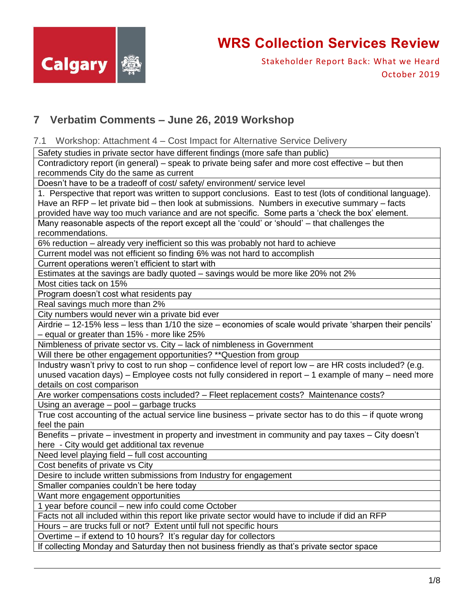

Stakeholder Report Back: What we Heard October 2019

### **7 Verbatim Comments – June 26, 2019 Workshop**

7.1 Workshop: Attachment 4 – Cost Impact for Alternative Service Delivery

Safety studies in private sector have different findings (more safe than public)

Contradictory report (in general) – speak to private being safer and more cost effective – but then recommends City do the same as current

Doesn't have to be a tradeoff of cost/ safety/ environment/ service level

1. Perspective that report was written to support conclusions. East to test (lots of conditional language). Have an RFP – let private bid – then look at submissions. Numbers in executive summary – facts provided have way too much variance and are not specific. Some parts a 'check the box' element.

Many reasonable aspects of the report except all the 'could' or 'should' – that challenges the recommendations.

6% reduction – already very inefficient so this was probably not hard to achieve

Current model was not efficient so finding 6% was not hard to accomplish

Current operations weren't efficient to start with

Estimates at the savings are badly quoted – savings would be more like 20% not 2%

Most cities tack on 15%

Program doesn't cost what residents pay

Real savings much more than 2%

City numbers would never win a private bid ever

Airdrie – 12-15% less – less than 1/10 the size – economies of scale would private 'sharpen their pencils' – equal or greater than 15% - more like 25%

Nimbleness of private sector vs. City – lack of nimbleness in Government

Will there be other engagement opportunities? \*\*Question from group

Industry wasn't privy to cost to run shop – confidence level of report low – are HR costs included? (e.g. unused vacation days) – Employee costs not fully considered in report – 1 example of many – need more details on cost comparison

Are worker compensations costs included? – Fleet replacement costs? Maintenance costs?

Using an average – pool – garbage trucks

True cost accounting of the actual service line business – private sector has to do this – if quote wrong feel the pain

Benefits – private – investment in property and investment in community and pay taxes – City doesn't here - City would get additional tax revenue

Need level playing field – full cost accounting

Cost benefits of private vs City

Desire to include written submissions from Industry for engagement

Smaller companies couldn't be here today

Want more engagement opportunities

1 year before council – new info could come October

Facts not all included within this report like private sector would have to include if did an RFP

Hours – are trucks full or not? Extent until full not specific hours

Overtime – if extend to 10 hours? It's regular day for collectors

If collecting Monday and Saturday then not business friendly as that's private sector space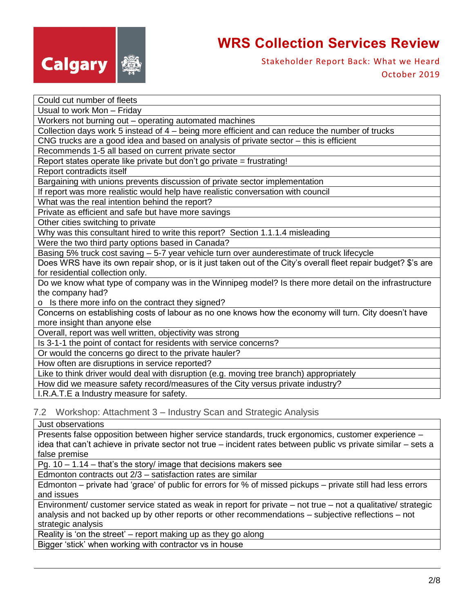

Stakeholder Report Back: What we Heard October 2019

| Could cut number of fleets                                                                                     |
|----------------------------------------------------------------------------------------------------------------|
| Usual to work Mon - Friday                                                                                     |
| Workers not burning out - operating automated machines                                                         |
| Collection days work 5 instead of 4 - being more efficient and can reduce the number of trucks                 |
| CNG trucks are a good idea and based on analysis of private sector - this is efficient                         |
| Recommends 1-5 all based on current private sector                                                             |
| Report states operate like private but don't go private = frustrating!                                         |
| Report contradicts itself                                                                                      |
| Bargaining with unions prevents discussion of private sector implementation                                    |
| If report was more realistic would help have realistic conversation with council                               |
| What was the real intention behind the report?                                                                 |
| Private as efficient and safe but have more savings                                                            |
| Other cities switching to private                                                                              |
| Why was this consultant hired to write this report? Section 1.1.1.4 misleading                                 |
| Were the two third party options based in Canada?                                                              |
| Basing 5% truck cost saving - 5-7 year vehicle turn over aunderestimate of truck lifecycle                     |
| Does WRS have its own repair shop, or is it just taken out of the City's overall fleet repair budget? \$'s are |
| for residential collection only.                                                                               |
| Do we know what type of company was in the Winnipeg model? Is there more detail on the infrastructure          |
| the company had?                                                                                               |
| o Is there more info on the contract they signed?                                                              |
| Concerns on establishing costs of labour as no one knows how the economy will turn. City doesn't have          |
| more insight than anyone else                                                                                  |
| Overall, report was well written, objectivity was strong                                                       |
| Is 3-1-1 the point of contact for residents with service concerns?                                             |
| Or would the concerns go direct to the private hauler?                                                         |
| How often are disruptions in service reported?                                                                 |
| Like to think driver would deal with disruption (e.g. moving tree branch) appropriately                        |
| How did we measure safety record/measures of the City versus private industry?                                 |
| I.R.A.T.E a Industry measure for safety.                                                                       |

7.2 Workshop: Attachment 3 – Industry Scan and Strategic Analysis

Just observations

Presents false opposition between higher service standards, truck ergonomics, customer experience – idea that can't achieve in private sector not true – incident rates between public vs private similar – sets a false premise

Pg. 10 – 1.14 – that's the story/ image that decisions makers see

Edmonton contracts out 2/3 – satisfaction rates are similar

Edmonton – private had 'grace' of public for errors for % of missed pickups – private still had less errors and issues

Environment/ customer service stated as weak in report for private – not true – not a qualitative/ strategic analysis and not backed up by other reports or other recommendations – subjective reflections – not strategic analysis

Reality is 'on the street' – report making up as they go along

Bigger 'stick' when working with contractor vs in house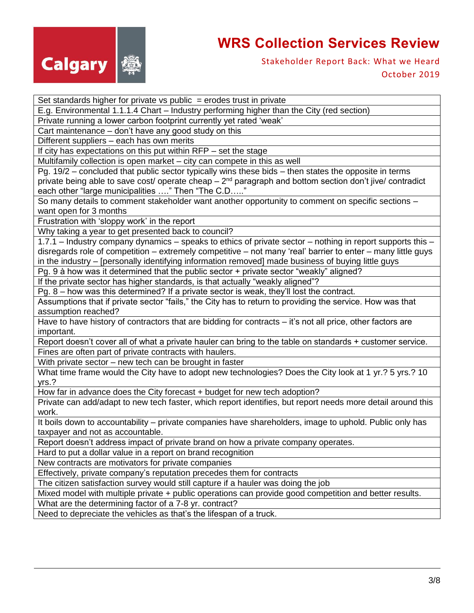

### Stakeholder Report Back: What we Heard October 2019

Set standards higher for private vs public  $=$  erodes trust in private E.g. Environmental 1.1.1.4 Chart – Industry performing higher than the City (red section) Private running a lower carbon footprint currently yet rated 'weak' Cart maintenance – don't have any good study on this Different suppliers – each has own merits If city has expectations on this put within RFP – set the stage Multifamily collection is open market – city can compete in this as well Pg. 19/2 – concluded that public sector typically wins these bids – then states the opposite in terms private being able to save cost/ operate cheap  $-2<sup>nd</sup>$  paragraph and bottom section don't jive/ contradict

each other "large municipalities …." Then "The C.D….."

So many details to comment stakeholder want another opportunity to comment on specific sections – want open for 3 months

Frustration with 'sloppy work' in the report

Why taking a year to get presented back to council?

1.7.1 – Industry company dynamics – speaks to ethics of private sector – nothing in report supports this – disregards role of competition – extremely competitive – not many 'real' barrier to enter – many little guys in the industry – [personally identifying information removed] made business of buying little guys

Pg. 9 à how was it determined that the public sector + private sector "weakly" aligned?

If the private sector has higher standards, is that actually "weakly aligned"?

Pg. 8 – how was this determined? If a private sector is weak, they'll lost the contract.

Assumptions that if private sector "fails," the City has to return to providing the service. How was that assumption reached?

Have to have history of contractors that are bidding for contracts – it's not all price, other factors are important.

Report doesn't cover all of what a private hauler can bring to the table on standards + customer service. Fines are often part of private contracts with haulers.

With private sector – new tech can be brought in faster

What time frame would the City have to adopt new technologies? Does the City look at 1 yr.? 5 yrs.? 10 yrs.?

How far in advance does the City forecast + budget for new tech adoption?

Private can add/adapt to new tech faster, which report identifies, but report needs more detail around this work.

It boils down to accountability – private companies have shareholders, image to uphold. Public only has taxpayer and not as accountable.

Report doesn't address impact of private brand on how a private company operates.

Hard to put a dollar value in a report on brand recognition

New contracts are motivators for private companies

Effectively, private company's reputation precedes them for contracts

The citizen satisfaction survey would still capture if a hauler was doing the job

Mixed model with multiple private + public operations can provide good competition and better results.

What are the determining factor of a 7-8 yr. contract?

Need to depreciate the vehicles as that's the lifespan of a truck.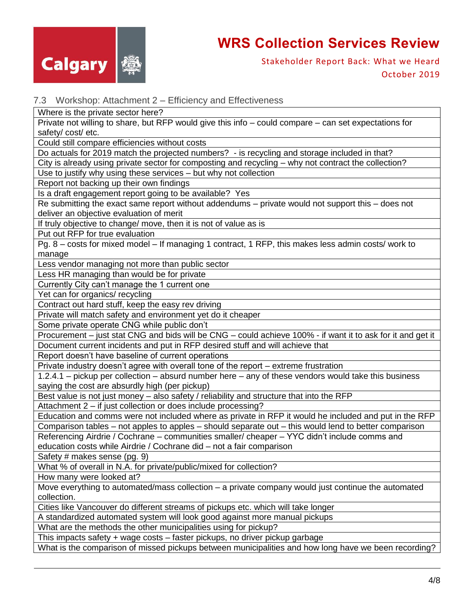

Stakeholder Report Back: What we Heard October 2019

#### 7.3 Workshop: Attachment 2 – Efficiency and Effectiveness

Where is the private sector here?

Private not willing to share, but RFP would give this info – could compare – can set expectations for safety/ cost/ etc.

Could still compare efficiencies without costs

Do actuals for 2019 match the projected numbers? - is recycling and storage included in that?

City is already using private sector for composting and recycling – why not contract the collection?

Use to justify why using these services – but why not collection

Report not backing up their own findings

Is a draft engagement report going to be available? Yes

Re submitting the exact same report without addendums – private would not support this – does not deliver an objective evaluation of merit

If truly objective to change/ move, then it is not of value as is

Put out RFP for true evaluation

Pg. 8 – costs for mixed model – If managing 1 contract, 1 RFP, this makes less admin costs/ work to manage

Less vendor managing not more than public sector

Less HR managing than would be for private

Currently City can't manage the 1 current one

Yet can for organics/ recycling

Contract out hard stuff, keep the easy rev driving

Private will match safety and environment yet do it cheaper

Some private operate CNG while public don't

Procurement – just stat CNG and bids will be CNG – could achieve 100% - if want it to ask for it and get it

Document current incidents and put in RFP desired stuff and will achieve that

Report doesn't have baseline of current operations

Private industry doesn't agree with overall tone of the report – extreme frustration

1.2.4.1 – pickup per collection – absurd number here – any of these vendors would take this business saying the cost are absurdly high (per pickup)

Best value is not just money – also safety / reliability and structure that into the RFP

Attachment 2 – if just collection or does include processing?

Education and comms were not included where as private in RFP it would he included and put in the RFP Comparison tables – not apples to apples – should separate out – this would lend to better comparison

Referencing Airdrie / Cochrane – communities smaller/ cheaper – YYC didn't include comms and education costs while Airdrie / Cochrane did – not a fair comparison

Safety # makes sense (pg. 9)

What % of overall in N.A. for private/public/mixed for collection?

How many were looked at?

Move everything to automated/mass collection – a private company would just continue the automated collection.

Cities like Vancouver do different streams of pickups etc. which will take longer

A standardized automated system will look good against more manual pickups

What are the methods the other municipalities using for pickup?

This impacts safety + wage costs – faster pickups, no driver pickup garbage

What is the comparison of missed pickups between municipalities and how long have we been recording?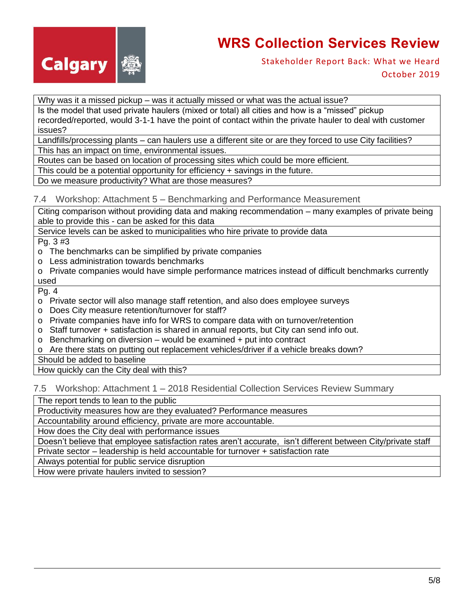

Stakeholder Report Back: What we Heard October 2019

Why was it a missed pickup - was it actually missed or what was the actual issue?

Is the model that used private haulers (mixed or total) all cities and how is a "missed" pickup recorded/reported, would 3-1-1 have the point of contact within the private hauler to deal with customer issues?

Landfills/processing plants – can haulers use a different site or are they forced to use City facilities? This has an impact on time, environmental issues.

Routes can be based on location of processing sites which could be more efficient.

This could be a potential opportunity for efficiency + savings in the future.

Do we measure productivity? What are those measures?

#### 7.4 Workshop: Attachment 5 – Benchmarking and Performance Measurement

Citing comparison without providing data and making recommendation – many examples of private being able to provide this - can be asked for this data

Service levels can be asked to municipalities who hire private to provide data

Pg. 3 #3

o The benchmarks can be simplified by private companies

- o Less administration towards benchmarks
- o Private companies would have simple performance matrices instead of difficult benchmarks currently used

Pg. 4

- o Private sector will also manage staff retention, and also does employee surveys
- o Does City measure retention/turnover for staff?
- o Private companies have info for WRS to compare data with on turnover/retention
- o Staff turnover + satisfaction is shared in annual reports, but City can send info out.
- o Benchmarking on diversion would be examined + put into contract
- o Are there stats on putting out replacement vehicles/driver if a vehicle breaks down?

Should be added to baseline

How quickly can the City deal with this?

7.5 Workshop: Attachment 1 – 2018 Residential Collection Services Review Summary

The report tends to lean to the public

Productivity measures how are they evaluated? Performance measures

Accountability around efficiency, private are more accountable.

How does the City deal with performance issues

Doesn't believe that employee satisfaction rates aren't accurate, isn't different between City/private staff Private sector – leadership is held accountable for turnover + satisfaction rate

Always potential for public service disruption

How were private haulers invited to session?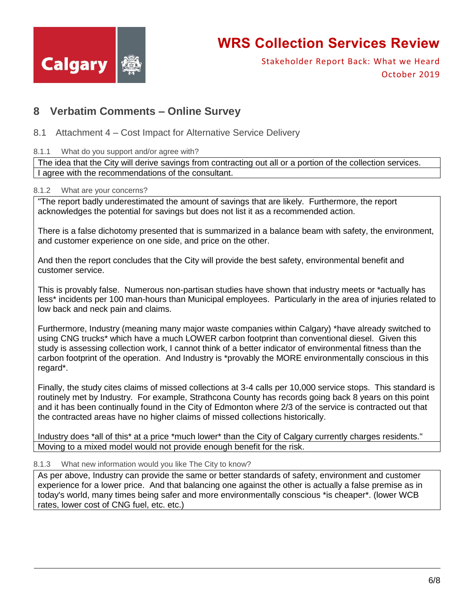

Stakeholder Report Back: What we Heard October 2019

### **8 Verbatim Comments – Online Survey**

- 8.1 Attachment 4 Cost Impact for Alternative Service Delivery
- 8.1.1 What do you support and/or agree with?

The idea that the City will derive savings from contracting out all or a portion of the collection services. I agree with the recommendations of the consultant.

8.1.2 What are your concerns?

"The report badly underestimated the amount of savings that are likely. Furthermore, the report acknowledges the potential for savings but does not list it as a recommended action.

There is a false dichotomy presented that is summarized in a balance beam with safety, the environment, and customer experience on one side, and price on the other.

And then the report concludes that the City will provide the best safety, environmental benefit and customer service.

This is provably false. Numerous non-partisan studies have shown that industry meets or \*actually has less\* incidents per 100 man-hours than Municipal employees. Particularly in the area of injuries related to low back and neck pain and claims.

Furthermore, Industry (meaning many major waste companies within Calgary) \*have already switched to using CNG trucks\* which have a much LOWER carbon footprint than conventional diesel. Given this study is assessing collection work, I cannot think of a better indicator of environmental fitness than the carbon footprint of the operation. And Industry is \*provably the MORE environmentally conscious in this regard\*.

Finally, the study cites claims of missed collections at 3-4 calls per 10,000 service stops. This standard is routinely met by Industry. For example, Strathcona County has records going back 8 years on this point and it has been continually found in the City of Edmonton where 2/3 of the service is contracted out that the contracted areas have no higher claims of missed collections historically.

Industry does \*all of this\* at a price \*much lower\* than the City of Calgary currently charges residents." Moving to a mixed model would not provide enough benefit for the risk.

#### 8.1.3 What new information would you like The City to know?

As per above, Industry can provide the same or better standards of safety, environment and customer experience for a lower price. And that balancing one against the other is actually a false premise as in today's world, many times being safer and more environmentally conscious \*is cheaper\*. (lower WCB rates, lower cost of CNG fuel, etc. etc.)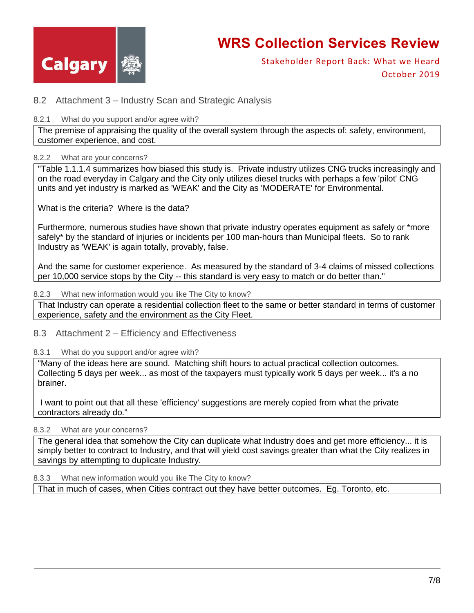

Stakeholder Report Back: What we Heard October 2019

### 8.2 Attachment 3 – Industry Scan and Strategic Analysis

#### 8.2.1 What do you support and/or agree with?

The premise of appraising the quality of the overall system through the aspects of: safety, environment, customer experience, and cost.

#### 8.2.2 What are your concerns?

"Table 1.1.1.4 summarizes how biased this study is. Private industry utilizes CNG trucks increasingly and on the road everyday in Calgary and the City only utilizes diesel trucks with perhaps a few 'pilot' CNG units and yet industry is marked as 'WEAK' and the City as 'MODERATE' for Environmental.

What is the criteria? Where is the data?

Furthermore, numerous studies have shown that private industry operates equipment as safely or \*more safely\* by the standard of injuries or incidents per 100 man-hours than Municipal fleets. So to rank Industry as 'WEAK' is again totally, provably, false.

And the same for customer experience. As measured by the standard of 3-4 claims of missed collections per 10,000 service stops by the City -- this standard is very easy to match or do better than."

#### 8.2.3 What new information would you like The City to know?

That Industry can operate a residential collection fleet to the same or better standard in terms of customer experience, safety and the environment as the City Fleet.

8.3 Attachment 2 – Efficiency and Effectiveness

#### 8.3.1 What do you support and/or agree with?

"Many of the ideas here are sound. Matching shift hours to actual practical collection outcomes. Collecting 5 days per week... as most of the taxpayers must typically work 5 days per week... it's a no brainer.

I want to point out that all these 'efficiency' suggestions are merely copied from what the private contractors already do."

### 8.3.2 What are your concerns?

The general idea that somehow the City can duplicate what Industry does and get more efficiency... it is simply better to contract to Industry, and that will yield cost savings greater than what the City realizes in savings by attempting to duplicate Industry.

#### 8.3.3 What new information would you like The City to know?

That in much of cases, when Cities contract out they have better outcomes. Eg. Toronto, etc.